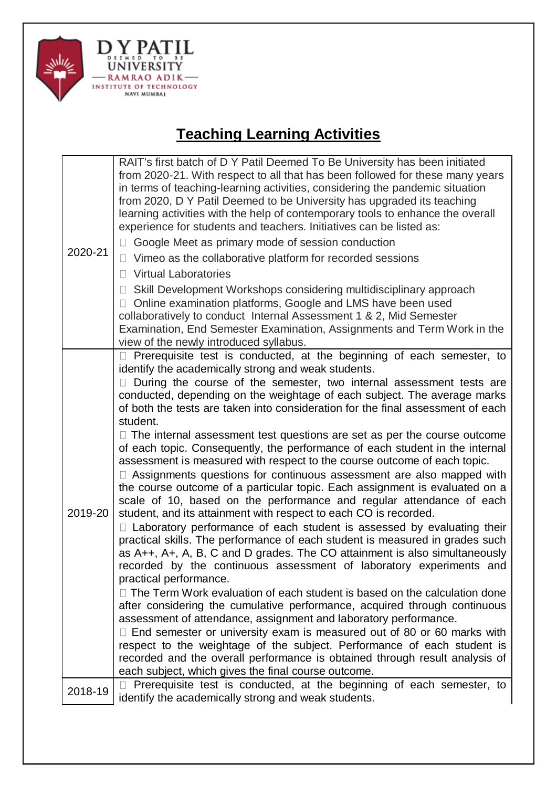

## **Teaching Learning Activities**

| 2020-21 | RAIT's first batch of D Y Patil Deemed To Be University has been initiated<br>from 2020-21. With respect to all that has been followed for these many years<br>in terms of teaching-learning activities, considering the pandemic situation<br>from 2020, D Y Patil Deemed to be University has upgraded its teaching<br>learning activities with the help of contemporary tools to enhance the overall<br>experience for students and teachers. Initiatives can be listed as:<br>Google Meet as primary mode of session conduction<br>$\Box$<br>Vimeo as the collaborative platform for recorded sessions<br>U<br><b>Virtual Laboratories</b><br>$\Box$<br>Skill Development Workshops considering multidisciplinary approach<br>$\Box$<br>□ Online examination platforms, Google and LMS have been used<br>collaboratively to conduct Internal Assessment 1 & 2, Mid Semester<br>Examination, End Semester Examination, Assignments and Term Work in the<br>view of the newly introduced syllabus.                                                                                                                                                                                                                                                                                                                                                                                                                                                                                                                                                                                                                                                                                                                                                                                                                                    |
|---------|-----------------------------------------------------------------------------------------------------------------------------------------------------------------------------------------------------------------------------------------------------------------------------------------------------------------------------------------------------------------------------------------------------------------------------------------------------------------------------------------------------------------------------------------------------------------------------------------------------------------------------------------------------------------------------------------------------------------------------------------------------------------------------------------------------------------------------------------------------------------------------------------------------------------------------------------------------------------------------------------------------------------------------------------------------------------------------------------------------------------------------------------------------------------------------------------------------------------------------------------------------------------------------------------------------------------------------------------------------------------------------------------------------------------------------------------------------------------------------------------------------------------------------------------------------------------------------------------------------------------------------------------------------------------------------------------------------------------------------------------------------------------------------------------------------------------------------------------|
| 2019-20 | □ Prerequisite test is conducted, at the beginning of each semester, to<br>identify the academically strong and weak students.<br>During the course of the semester, two internal assessment tests are<br>$\mathbf{L}$<br>conducted, depending on the weightage of each subject. The average marks<br>of both the tests are taken into consideration for the final assessment of each<br>student.<br>$\Box$ The internal assessment test questions are set as per the course outcome<br>of each topic. Consequently, the performance of each student in the internal<br>assessment is measured with respect to the course outcome of each topic.<br>□ Assignments questions for continuous assessment are also mapped with<br>the course outcome of a particular topic. Each assignment is evaluated on a<br>scale of 10, based on the performance and regular attendance of each<br>student, and its attainment with respect to each CO is recorded.<br>□ Laboratory performance of each student is assessed by evaluating their<br>practical skills. The performance of each student is measured in grades such<br>as A++, A+, A, B, C and D grades. The CO attainment is also simultaneously<br>recorded by the continuous assessment of laboratory experiments and<br>practical performance.<br>$\Box$ The Term Work evaluation of each student is based on the calculation done<br>after considering the cumulative performance, acquired through continuous<br>assessment of attendance, assignment and laboratory performance.<br>$\Box$ End semester or university exam is measured out of 80 or 60 marks with<br>respect to the weightage of the subject. Performance of each student is<br>recorded and the overall performance is obtained through result analysis of<br>each subject, which gives the final course outcome. |
| 2018-19 | Prerequisite test is conducted, at the beginning of each semester, to<br>$\Box$<br>identify the academically strong and weak students.                                                                                                                                                                                                                                                                                                                                                                                                                                                                                                                                                                                                                                                                                                                                                                                                                                                                                                                                                                                                                                                                                                                                                                                                                                                                                                                                                                                                                                                                                                                                                                                                                                                                                                  |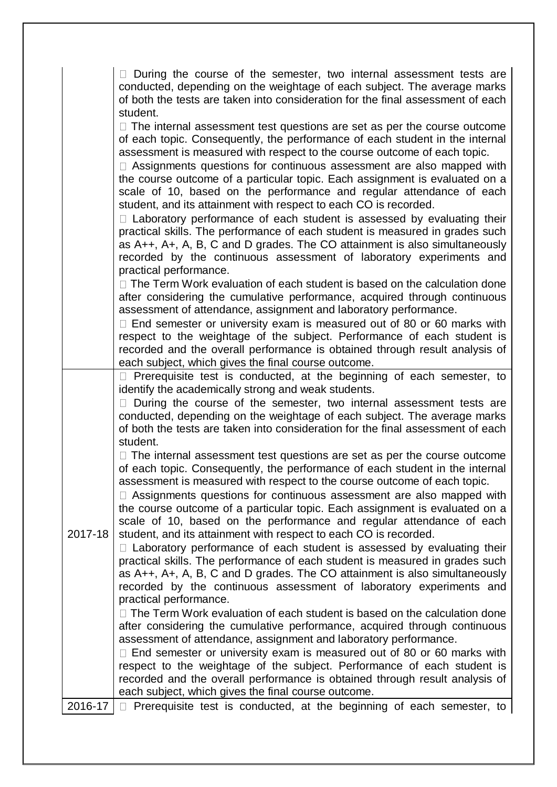|         | During the course of the semester, two internal assessment tests are                                                                                          |
|---------|---------------------------------------------------------------------------------------------------------------------------------------------------------------|
|         | conducted, depending on the weightage of each subject. The average marks                                                                                      |
|         | of both the tests are taken into consideration for the final assessment of each                                                                               |
|         | student.<br>$\Box$ The internal assessment test questions are set as per the course outcome                                                                   |
|         | of each topic. Consequently, the performance of each student in the internal                                                                                  |
|         | assessment is measured with respect to the course outcome of each topic.                                                                                      |
|         | □ Assignments questions for continuous assessment are also mapped with                                                                                        |
|         | the course outcome of a particular topic. Each assignment is evaluated on a<br>scale of 10, based on the performance and regular attendance of each           |
|         | student, and its attainment with respect to each CO is recorded.                                                                                              |
|         | □ Laboratory performance of each student is assessed by evaluating their                                                                                      |
|         | practical skills. The performance of each student is measured in grades such                                                                                  |
|         | as A++, A+, A, B, C and D grades. The CO attainment is also simultaneously                                                                                    |
|         | recorded by the continuous assessment of laboratory experiments and<br>practical performance.                                                                 |
|         | $\Box$ The Term Work evaluation of each student is based on the calculation done                                                                              |
|         | after considering the cumulative performance, acquired through continuous                                                                                     |
|         | assessment of attendance, assignment and laboratory performance.<br>$\Box$ End semester or university exam is measured out of 80 or 60 marks with             |
|         | respect to the weightage of the subject. Performance of each student is                                                                                       |
|         | recorded and the overall performance is obtained through result analysis of                                                                                   |
|         | each subject, which gives the final course outcome.                                                                                                           |
|         | Prerequisite test is conducted, at the beginning of each semester, to<br>identify the academically strong and weak students.                                  |
|         | $\Box$ During the course of the semester, two internal assessment tests are                                                                                   |
|         | conducted, depending on the weightage of each subject. The average marks                                                                                      |
|         | of both the tests are taken into consideration for the final assessment of each<br>student.                                                                   |
|         | $\Box$ The internal assessment test questions are set as per the course outcome                                                                               |
|         | of each topic. Consequently, the performance of each student in the internal                                                                                  |
|         | assessment is measured with respect to the course outcome of each topic.                                                                                      |
|         | $\Box$ Assignments questions for continuous assessment are also mapped with<br>the course outcome of a particular topic. Each assignment is evaluated on a    |
|         | scale of 10, based on the performance and regular attendance of each                                                                                          |
| 2017-18 | student, and its attainment with respect to each CO is recorded.                                                                                              |
|         | $\Box$ Laboratory performance of each student is assessed by evaluating their<br>practical skills. The performance of each student is measured in grades such |
|         | as A++, A+, A, B, C and D grades. The CO attainment is also simultaneously                                                                                    |
|         | recorded by the continuous assessment of laboratory experiments and                                                                                           |
|         | practical performance.                                                                                                                                        |
|         | □ The Term Work evaluation of each student is based on the calculation done<br>after considering the cumulative performance, acquired through continuous      |
|         | assessment of attendance, assignment and laboratory performance.                                                                                              |
|         | $\Box$ End semester or university exam is measured out of 80 or 60 marks with                                                                                 |
|         | respect to the weightage of the subject. Performance of each student is                                                                                       |
|         | recorded and the overall performance is obtained through result analysis of<br>each subject, which gives the final course outcome.                            |
| 2016-17 | Prerequisite test is conducted, at the beginning of each semester, to<br>$\Box$                                                                               |